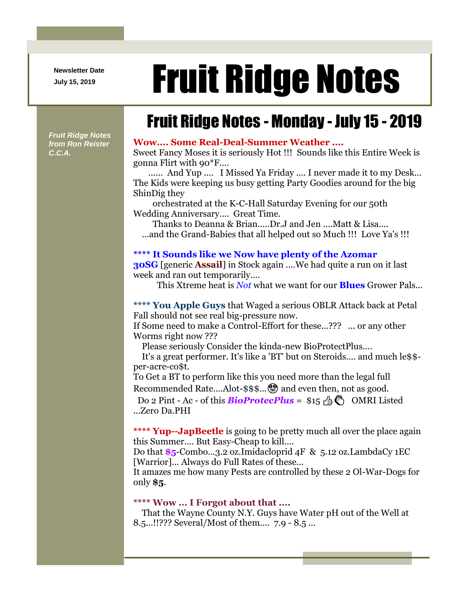**Newsletter Date**

# Newsletter Date **Fruit Ridge Notes**

## Fruit Ridge Notes - Monday - July 15 - 2019

*Fruit Ridge Notes from Ron Reister C.C.A.*

#### **Wow.... Some Real-Deal-Summer Weather ....**

Sweet Fancy Moses it is seriously Hot !!! Sounds like this Entire Week is gonna Flirt with 90\*F....

....... And Yup .... I Missed Ya Friday .... I never made it to my Desk... The Kids were keeping us busy getting Party Goodies around for the big ShinDig they

orchestrated at the K-C-Hall Saturday Evening for our 50th Wedding Anniversary.... Great Time.

Thanks to Deanna & Brian.....Dr.J and Jen ....Matt & Lisa.... ...and the Grand-Babies that all helped out so Much !!! Love Ya's !!!

#### **\*\*\*\* It Sounds like we Now have plenty of the Azomar**

**30SG** [generic **Assail**] in Stock again ....We had quite a run on it last week and ran out temporarily....

This Xtreme heat is *Not* what we want for our **Blues** Grower Pals...

**\*\*\*\* You Apple Guys** that Waged a serious OBLR Attack back at Petal Fall should not see real big-pressure now.

If Some need to make a Control-Effort for these...??? ... or any other Worms right now ???

Please seriously Consider the kinda-new BioProtectPlus....

It's a great performer. It's like a 'BT' but on Steroids.... and much le\$\$per-acre-co\$t.

To Get a BT to perform like this you need more than the legal full Recommended Rate....Alot-\$\$\$... **@** and even then, not as good.

Do 2 Pint - Ac - of this **BioProtecPlus** = \$15 **A** OMRI Listed ...Zero Da.PHI

**\*\*\*\* Yup--JapBeetle** is going to be pretty much all over the place again this Summer.... But Easy-Cheap to kill....

Do that **\$5**-Combo...3.2 oz.Imidacloprid 4F & 5.12 oz.LambdaCy 1EC [Warrior]... Always do Full Rates of these...

It amazes me how many Pests are controlled by these 2 Ol-War-Dogs for only **\$5**.

#### **\*\*\*\* Wow ... I Forgot about that ....**

That the Wayne County N.Y. Guys have Water pH out of the Well at 8.5...!!??? Several/Most of them.... 7.9 - 8.5 ...